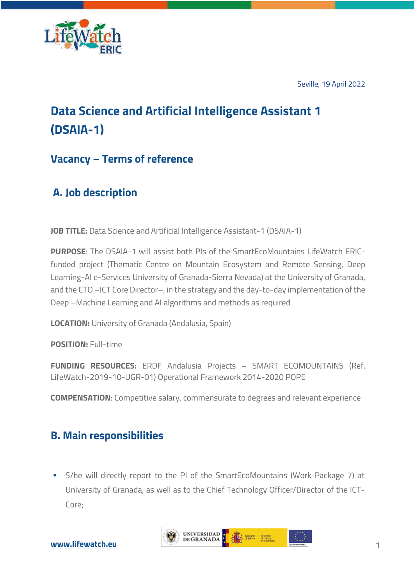

Seville, 19 April 2022

# **Data Science and Artificial Intelligence Assistant 1 (DSAIA-1)**

## **Vacancy – Terms of reference**

# **A. Job description**

**JOB TITLE:** Data Science and Artificial Intelligence Assistant-1 (DSAIA-1)

**PURPOSE**: The DSAIA-1 will assist both PIs of the SmartEcoMountains LifeWatch ERICfunded project (Thematic Centre on Mountain Ecosystem and Remote Sensing, Deep Learning-AI e-Services University of Granada-Sierra Nevada) at the University of Granada, and the CTO –ICT Core Director–, in the strategy and the day-to-day implementation of the Deep –Machine Learning and AI algorithms and methods as required

**LOCATION:** University of Granada (Andalusia, Spain)

**POSITION:** Full-time

**FUNDING RESOURCES:** ERDF Andalusia Projects – SMART ECOMOUNTAINS (Ref. LifeWatch-2019-10-UGR-01) Operational Framework 2014-2020 POPE

**COMPENSATION:** Competitive salary, commensurate to degrees and relevant experience

# **B. Main responsibilities**

§ S/he will directly report to the PI of the SmartEcoMountains (Work Package 7) at University of Granada, as well as to the Chief Technology Officer/Director of the ICT-Core;

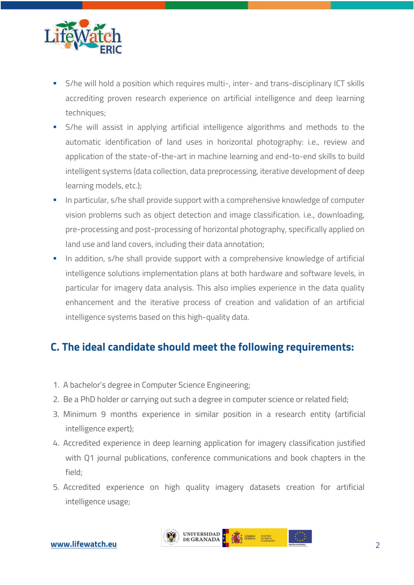

- § S/he will hold a position which requires multi-, inter- and trans-disciplinary ICT skills accrediting proven research experience on artificial intelligence and deep learning techniques;
- S/he will assist in applying artificial intelligence algorithms and methods to the automatic identification of land uses in horizontal photography: i.e., review and application of the state-of-the-art in machine learning and end-to-end skills to build intelligent systems (data collection, data preprocessing, iterative development of deep learning models, etc.);
- In particular, s/he shall provide support with a comprehensive knowledge of computer vision problems such as object detection and image classification. i.e., downloading, pre-processing and post-processing of horizontal photography, specifically applied on land use and land covers, including their data annotation;
- In addition, s/he shall provide support with a comprehensive knowledge of artificial intelligence solutions implementation plans at both hardware and software levels, in particular for imagery data analysis. This also implies experience in the data quality enhancement and the iterative process of creation and validation of an artificial intelligence systems based on this high-quality data.

## **C. The ideal candidate should meet the following requirements:**

- 1. A bachelor's degree in Computer Science Engineering;
- 2. Be a PhD holder or carrying out such a degree in computer science or related field;
- 3. Minimum 9 months experience in similar position in a research entity (artificial intelligence expert);
- 4. Accredited experience in deep learning application for imagery classification justified with Q1 journal publications, conference communications and book chapters in the field;
- 5. Accredited experience on high quality imagery datasets creation for artificial intelligence usage;

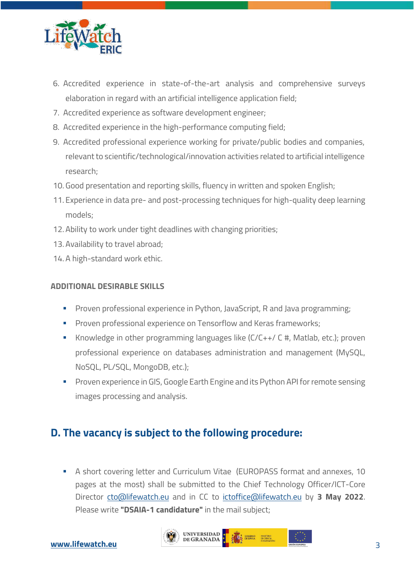

- 6. Accredited experience in state-of-the-art analysis and comprehensive surveys elaboration in regard with an artificial intelligence application field;
- 7. Accredited experience as software development engineer;
- 8. Accredited experience in the high-performance computing field;
- 9. Accredited professional experience working for private/public bodies and companies, relevant to scientific/technological/innovation activities related to artificial intelligence research;
- 10. Good presentation and reporting skills, fluency in written and spoken English;
- 11. Experience in data pre- and post-processing techniques for high-quality deep learning models;
- 12. Ability to work under tight deadlines with changing priorities;
- 13. Availability to travel abroad;
- 14. A high-standard work ethic.

#### **ADDITIONAL DESIRABLE SKILLS**

- **•** Proven professional experience in Python, JavaScript, R and Java programming;
- **Proven professional experience on Tensorflow and Keras frameworks;**
- § Knowledge in other programming languages like (C/C++/ C #, Matlab, etc.); proven professional experience on databases administration and management (MySQL, NoSQL, PL/SQL, MongoDB, etc.);
- **Proven experience in GIS, Google Earth Engine and its Python API for remote sensing** images processing and analysis.

## **D. The vacancy is subject to the following procedure:**

§ A short covering letter and Curriculum Vitae (EUROPASS format and annexes, 10 pages at the most) shall be submitted to the Chief Technology Officer/ICT-Core Director cto@lifewatch.eu and in CC to ictoffice@lifewatch.eu by **3 May 2022**. Please write **"DSAIA-1 candidature"** in the mail subject;